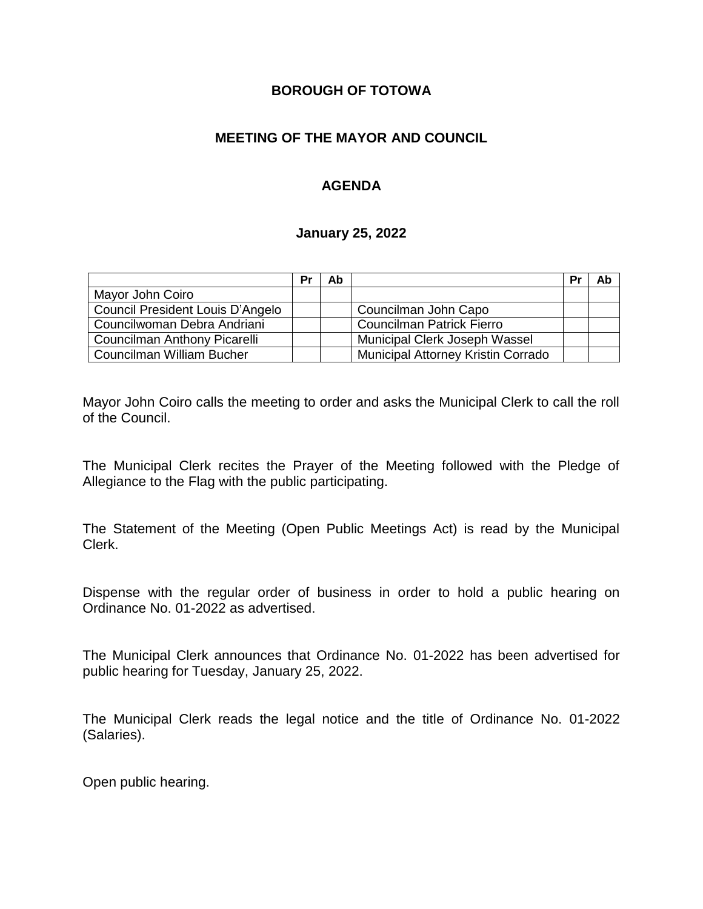#### **BOROUGH OF TOTOWA**

### **MEETING OF THE MAYOR AND COUNCIL**

### **AGENDA**

#### **January 25, 2022**

|                                  | Pr | Ab |                                    | Pr | Ab |
|----------------------------------|----|----|------------------------------------|----|----|
| Mayor John Coiro                 |    |    |                                    |    |    |
| Council President Louis D'Angelo |    |    | Councilman John Capo               |    |    |
| Councilwoman Debra Andriani      |    |    | <b>Councilman Patrick Fierro</b>   |    |    |
| Councilman Anthony Picarelli     |    |    | Municipal Clerk Joseph Wassel      |    |    |
| Councilman William Bucher        |    |    | Municipal Attorney Kristin Corrado |    |    |

Mayor John Coiro calls the meeting to order and asks the Municipal Clerk to call the roll of the Council.

The Municipal Clerk recites the Prayer of the Meeting followed with the Pledge of Allegiance to the Flag with the public participating.

The Statement of the Meeting (Open Public Meetings Act) is read by the Municipal Clerk.

Dispense with the regular order of business in order to hold a public hearing on Ordinance No. 01-2022 as advertised.

The Municipal Clerk announces that Ordinance No. 01-2022 has been advertised for public hearing for Tuesday, January 25, 2022.

The Municipal Clerk reads the legal notice and the title of Ordinance No. 01-2022 (Salaries).

Open public hearing.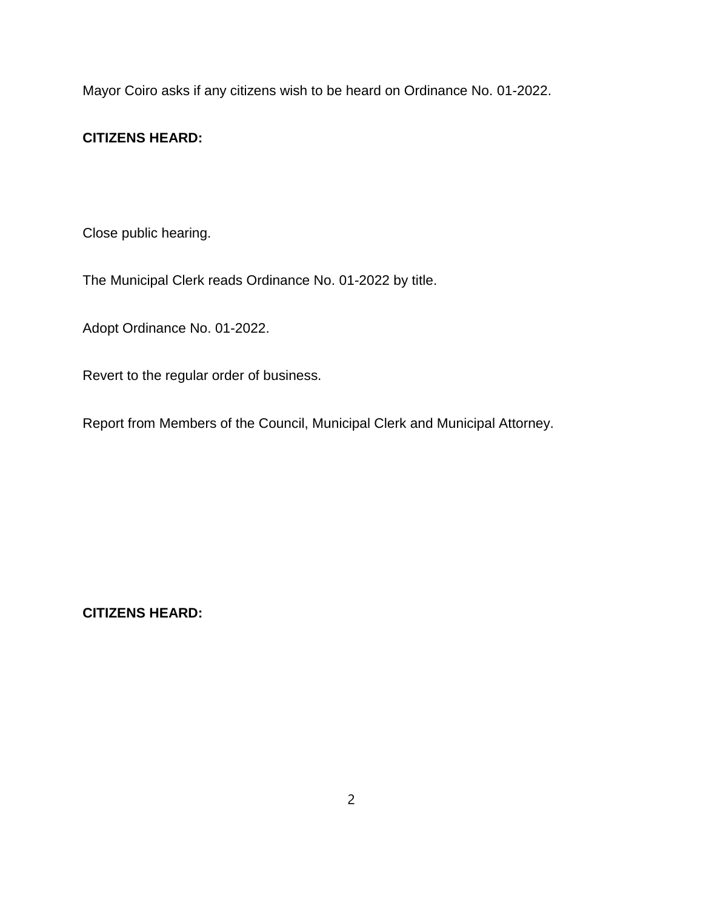Mayor Coiro asks if any citizens wish to be heard on Ordinance No. 01-2022.

## **CITIZENS HEARD:**

Close public hearing.

The Municipal Clerk reads Ordinance No. 01-2022 by title.

Adopt Ordinance No. 01-2022.

Revert to the regular order of business.

Report from Members of the Council, Municipal Clerk and Municipal Attorney.

**CITIZENS HEARD:**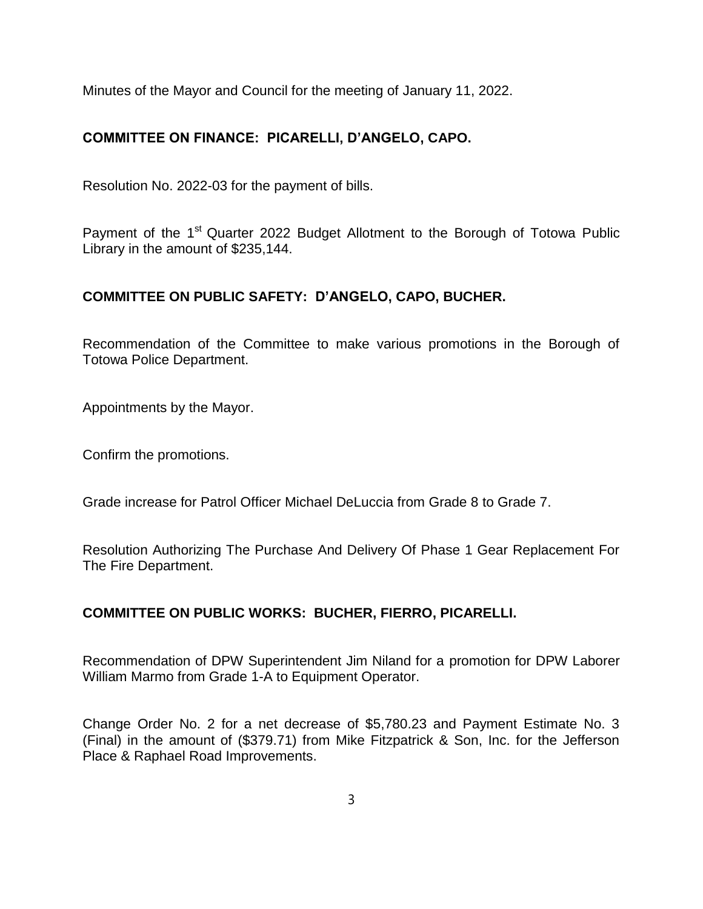Minutes of the Mayor and Council for the meeting of January 11, 2022.

# **COMMITTEE ON FINANCE: PICARELLI, D'ANGELO, CAPO.**

Resolution No. 2022-03 for the payment of bills.

Payment of the 1<sup>st</sup> Quarter 2022 Budget Allotment to the Borough of Totowa Public Library in the amount of \$235,144.

## **COMMITTEE ON PUBLIC SAFETY: D'ANGELO, CAPO, BUCHER.**

Recommendation of the Committee to make various promotions in the Borough of Totowa Police Department.

Appointments by the Mayor.

Confirm the promotions.

Grade increase for Patrol Officer Michael DeLuccia from Grade 8 to Grade 7.

Resolution Authorizing The Purchase And Delivery Of Phase 1 Gear Replacement For The Fire Department.

## **COMMITTEE ON PUBLIC WORKS: BUCHER, FIERRO, PICARELLI.**

Recommendation of DPW Superintendent Jim Niland for a promotion for DPW Laborer William Marmo from Grade 1-A to Equipment Operator.

Change Order No. 2 for a net decrease of \$5,780.23 and Payment Estimate No. 3 (Final) in the amount of (\$379.71) from Mike Fitzpatrick & Son, Inc. for the Jefferson Place & Raphael Road Improvements.